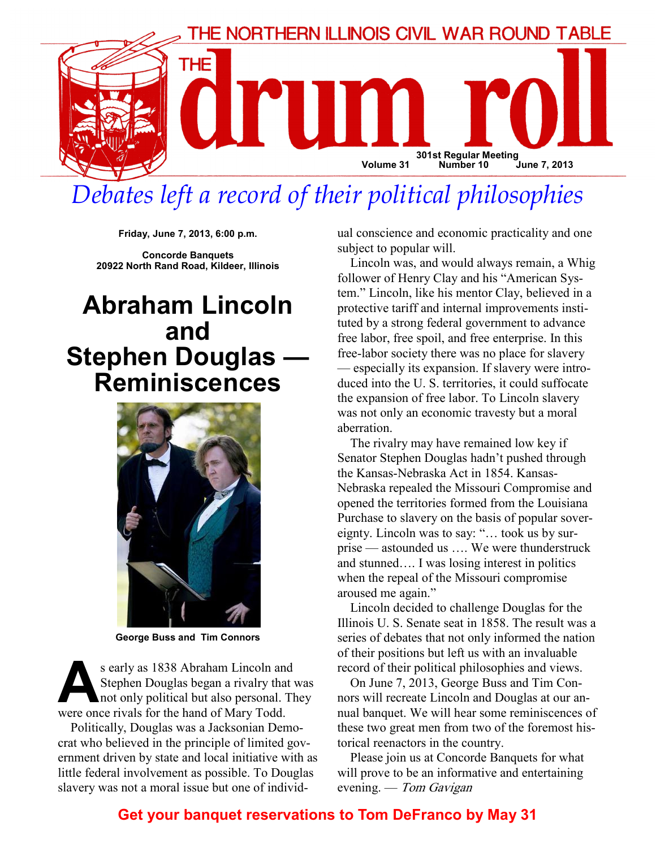

# Debates left a record of their political philosophies

Friday, June 7, 2013, 6:00 p.m.

Concorde Banquets 20922 North Rand Road, Kildeer, Illinois

# Abraham Lincoln and Stephen Douglas — Reminiscences



George Buss and Tim Connors

s early as 1838 Abraham Lincoln and<br>Stephen Douglas began a rivalry that when the political but also personal. The<br>were once rivals for the hand of Mary Todd Stephen Douglas began a rivalry that was not only political but also personal. They were once rivals for the hand of Mary Todd.

Politically, Douglas was a Jacksonian Democrat who believed in the principle of limited government driven by state and local initiative with as little federal involvement as possible. To Douglas slavery was not a moral issue but one of individual conscience and economic practicality and one subject to popular will.

Lincoln was, and would always remain, a Whig follower of Henry Clay and his "American System." Lincoln, like his mentor Clay, believed in a protective tariff and internal improvements instituted by a strong federal government to advance free labor, free spoil, and free enterprise. In this free-labor society there was no place for slavery — especially its expansion. If slavery were introduced into the U. S. territories, it could suffocate the expansion of free labor. To Lincoln slavery was not only an economic travesty but a moral aberration.

The rivalry may have remained low key if Senator Stephen Douglas hadn't pushed through the Kansas-Nebraska Act in 1854. Kansas-Nebraska repealed the Missouri Compromise and opened the territories formed from the Louisiana Purchase to slavery on the basis of popular sovereignty. Lincoln was to say: "… took us by surprise — astounded us …. We were thunderstruck and stunned…. I was losing interest in politics when the repeal of the Missouri compromise aroused me again."

Lincoln decided to challenge Douglas for the Illinois U. S. Senate seat in 1858. The result was a series of debates that not only informed the nation of their positions but left us with an invaluable record of their political philosophies and views.

On June 7, 2013, George Buss and Tim Connors will recreate Lincoln and Douglas at our annual banquet. We will hear some reminiscences of these two great men from two of the foremost historical reenactors in the country.

Please join us at Concorde Banquets for what will prove to be an informative and entertaining evening. — Tom Gavigan

# Get your banquet reservations to Tom DeFranco by May 31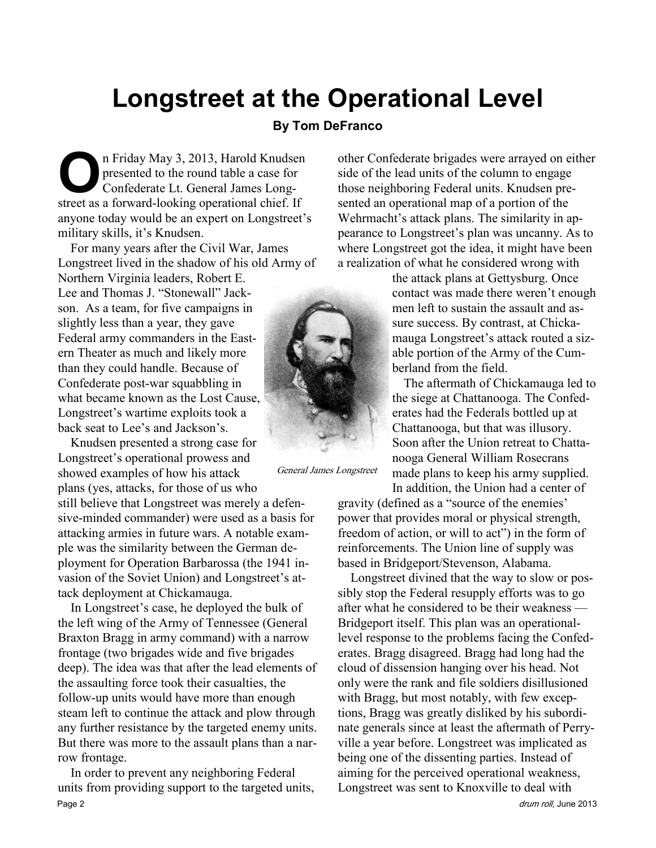# Longstreet at the Operational Level

#### By Tom DeFranco

The Priday May 3, 2013, Harold Knudsen<br>presented to the round table a case for<br>Confederate Lt. General James Long-<br>street as a forward-looking operational chief. If presented to the round table a case for Confederate Lt. General James Longstreet as a forward-looking operational chief. If anyone today would be an expert on Longstreet's military skills, it's Knudsen.

For many years after the Civil War, James Longstreet lived in the shadow of his old Army of

Northern Virginia leaders, Robert E. Lee and Thomas J. "Stonewall" Jackson. As a team, for five campaigns in slightly less than a year, they gave Federal army commanders in the Eastern Theater as much and likely more than they could handle. Because of Confederate post-war squabbling in what became known as the Lost Cause, Longstreet's wartime exploits took a back seat to Lee's and Jackson's.

Knudsen presented a strong case for Longstreet's operational prowess and showed examples of how his attack plans (yes, attacks, for those of us who

still believe that Longstreet was merely a defensive-minded commander) were used as a basis for attacking armies in future wars. A notable example was the similarity between the German deployment for Operation Barbarossa (the 1941 invasion of the Soviet Union) and Longstreet's attack deployment at Chickamauga.

In Longstreet's case, he deployed the bulk of the left wing of the Army of Tennessee (General Braxton Bragg in army command) with a narrow frontage (two brigades wide and five brigades deep). The idea was that after the lead elements of the assaulting force took their casualties, the follow-up units would have more than enough steam left to continue the attack and plow through any further resistance by the targeted enemy units. But there was more to the assault plans than a narrow frontage.

In order to prevent any neighboring Federal units from providing support to the targeted units, Page 2 drum roll, June 2013



General James Longstreet

other Confederate brigades were arrayed on either side of the lead units of the column to engage those neighboring Federal units. Knudsen presented an operational map of a portion of the Wehrmacht's attack plans. The similarity in appearance to Longstreet's plan was uncanny. As to where Longstreet got the idea, it might have been a realization of what he considered wrong with

> the attack plans at Gettysburg. Once contact was made there weren't enough men left to sustain the assault and assure success. By contrast, at Chickamauga Longstreet's attack routed a sizable portion of the Army of the Cumberland from the field.

> The aftermath of Chickamauga led to the siege at Chattanooga. The Confederates had the Federals bottled up at Chattanooga, but that was illusory. Soon after the Union retreat to Chattanooga General William Rosecrans made plans to keep his army supplied. In addition, the Union had a center of

gravity (defined as a "source of the enemies' power that provides moral or physical strength, freedom of action, or will to act") in the form of reinforcements. The Union line of supply was based in Bridgeport/Stevenson, Alabama.

Longstreet divined that the way to slow or possibly stop the Federal resupply efforts was to go after what he considered to be their weakness — Bridgeport itself. This plan was an operationallevel response to the problems facing the Confederates. Bragg disagreed. Bragg had long had the cloud of dissension hanging over his head. Not only were the rank and file soldiers disillusioned with Bragg, but most notably, with few exceptions, Bragg was greatly disliked by his subordinate generals since at least the aftermath of Perryville a year before. Longstreet was implicated as being one of the dissenting parties. Instead of aiming for the perceived operational weakness, Longstreet was sent to Knoxville to deal with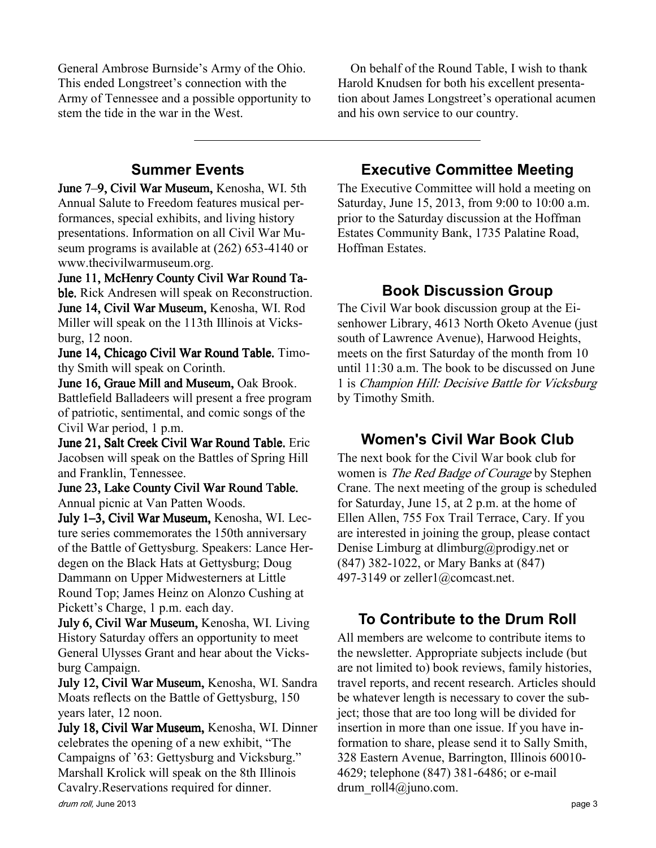General Ambrose Burnside's Army of the Ohio. This ended Longstreet's connection with the Army of Tennessee and a possible opportunity to stem the tide in the war in the West.

On behalf of the Round Table, I wish to thank Harold Knudsen for both his excellent presentation about James Longstreet's operational acumen and his own service to our country.

# Summer Events

June 7-9, Civil War Museum, Kenosha, WI. 5th Annual Salute to Freedom features musical performances, special exhibits, and living history presentations. Information on all Civil War Museum programs is available at (262) 653-4140 or www.thecivilwarmuseum.org.

June 11, McHenry County Civil War Round Table. Rick Andresen will speak on Reconstruction. June 14, Civil War Museum, Kenosha, WI. Rod Miller will speak on the 113th Illinois at Vicksburg, 12 noon.

June 14, Chicago Civil War Round Table. Timothy Smith will speak on Corinth.

June 16, Graue Mill and Museum, Oak Brook. Battlefield Balladeers will present a free program of patriotic, sentimental, and comic songs of the Civil War period, 1 p.m.

June 21, Salt Creek Civil War Round Table. Eric Jacobsen will speak on the Battles of Spring Hill and Franklin, Tennessee.

June 23, Lake County Civil War Round Table. 23, Lake County Civil War Round Table. Annual picnic at Van Patten Woods.

July 1-3, Civil War Museum, Kenosha, WI. Lecture series commemorates the 150th anniversary of the Battle of Gettysburg. Speakers: Lance Herdegen on the Black Hats at Gettysburg; Doug Dammann on Upper Midwesterners at Little Round Top; James Heinz on Alonzo Cushing at Pickett's Charge, 1 p.m. each day.

July 6, Civil War Museum, Kenosha, WI. Living History Saturday offers an opportunity to meet General Ulysses Grant and hear about the Vicksburg Campaign.

July 12, Civil War Museum, Kenosha, WI. Sandra Moats reflects on the Battle of Gettysburg, 150 years later, 12 noon.

July 18, Civil War Museum, Kenosha, WI. Dinner celebrates the opening of a new exhibit, "The Campaigns of '63: Gettysburg and Vicksburg." Marshall Krolick will speak on the 8th Illinois Cavalry.Reservations required for dinner.

#### drum roll, June 2013 **page 3**

#### Executive Committee Meeting

The Executive Committee will hold a meeting on Saturday, June 15, 2013, from 9:00 to 10:00 a.m. prior to the Saturday discussion at the Hoffman Estates Community Bank, 1735 Palatine Road, Hoffman Estates.

#### Book Discussion Group

The Civil War book discussion group at the Eisenhower Library, 4613 North Oketo Avenue (just south of Lawrence Avenue), Harwood Heights, meets on the first Saturday of the month from 10 until 11:30 a.m. The book to be discussed on June 1 is Champion Hill: Decisive Battle for Vicksburg by Timothy Smith.

#### Women's Civil War Book Club

The next book for the Civil War book club for women is *The Red Badge of Courage* by Stephen Crane. The next meeting of the group is scheduled for Saturday, June 15, at 2 p.m. at the home of Ellen Allen, 755 Fox Trail Terrace, Cary. If you are interested in joining the group, please contact Denise Limburg at dlimburg@prodigy.net or (847) 382-1022, or Mary Banks at (847) 497-3149 or zeller1@comcast.net.

# To Contribute to the Drum Roll

All members are welcome to contribute items to the newsletter. Appropriate subjects include (but are not limited to) book reviews, family histories, travel reports, and recent research. Articles should be whatever length is necessary to cover the subject; those that are too long will be divided for insertion in more than one issue. If you have information to share, please send it to Sally Smith, 328 Eastern Avenue, Barrington, Illinois 60010- 4629; telephone (847) 381-6486; or e-mail drum roll4@juno.com.